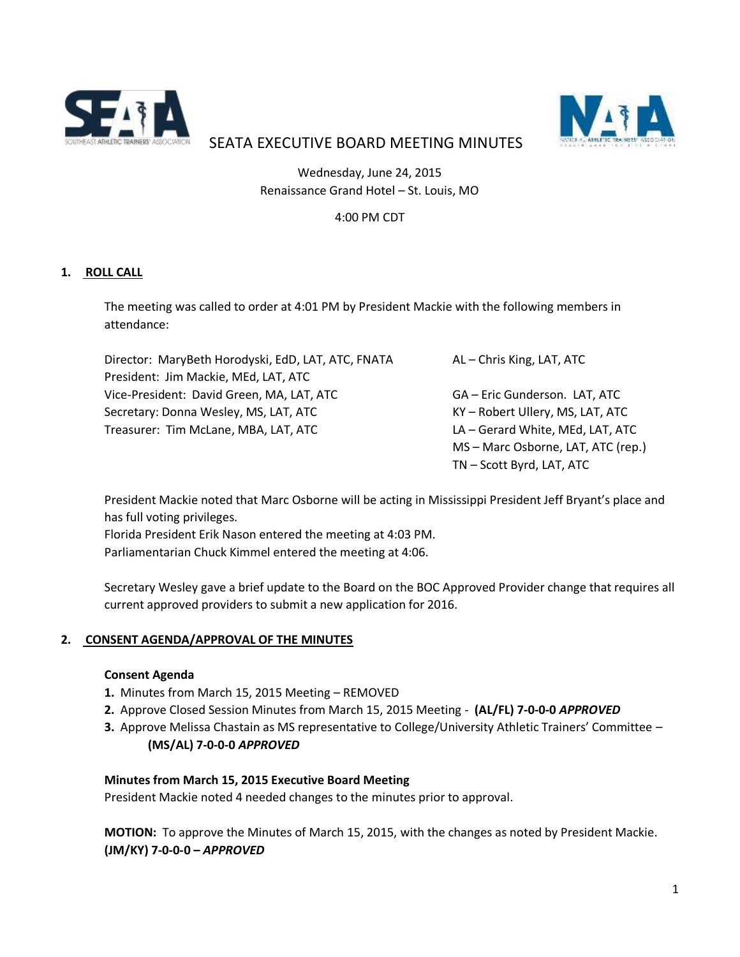



# SEATA EXECUTIVE BOARD MEETING MINUTES

Wednesday, June 24, 2015 Renaissance Grand Hotel – St. Louis, MO

# 4:00 PM CDT

# **1. ROLL CALL**

The meeting was called to order at 4:01 PM by President Mackie with the following members in attendance:

| Director: MaryBeth Horodyski, EdD, LAT, ATC, FNATA | AL - Chris King, LAT, ATC          |
|----------------------------------------------------|------------------------------------|
| President: Jim Mackie, MEd, LAT, ATC               |                                    |
| Vice-President: David Green, MA, LAT, ATC          | GA - Eric Gunderson. LAT, ATC      |
| Secretary: Donna Wesley, MS, LAT, ATC              | KY - Robert Ullery, MS, LAT, ATC   |
| Treasurer: Tim McLane, MBA, LAT, ATC               | LA - Gerard White, MEd, LAT, ATC   |
|                                                    | MS - Marc Osborne, LAT, ATC (rep.) |
|                                                    | TN-Scott Byrd, LAT, ATC            |

President Mackie noted that Marc Osborne will be acting in Mississippi President Jeff Bryant's place and has full voting privileges.

Florida President Erik Nason entered the meeting at 4:03 PM. Parliamentarian Chuck Kimmel entered the meeting at 4:06.

Secretary Wesley gave a brief update to the Board on the BOC Approved Provider change that requires all current approved providers to submit a new application for 2016.

# **2. CONSENT AGENDA/APPROVAL OF THE MINUTES**

#### **Consent Agenda**

- **1.** Minutes from March 15, 2015 Meeting REMOVED
- **2.** Approve Closed Session Minutes from March 15, 2015 Meeting **(AL/FL) 7-0-0-0** *APPROVED*
- **3.** Approve Melissa Chastain as MS representative to College/University Athletic Trainers' Committee **(MS/AL) 7-0-0-0** *APPROVED*

#### **Minutes from March 15, 2015 Executive Board Meeting**

President Mackie noted 4 needed changes to the minutes prior to approval.

**MOTION:** To approve the Minutes of March 15, 2015, with the changes as noted by President Mackie. **(JM/KY) 7-0-0-0 –** *APPROVED*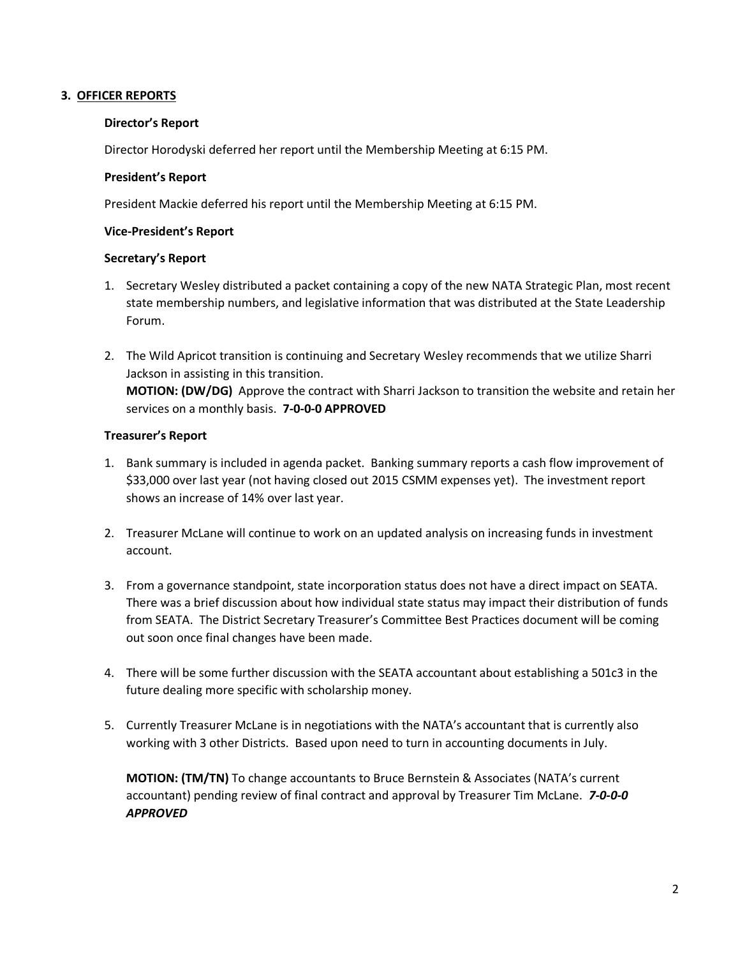# **3. OFFICER REPORTS**

## **Director's Report**

Director Horodyski deferred her report until the Membership Meeting at 6:15 PM.

## **President's Report**

President Mackie deferred his report until the Membership Meeting at 6:15 PM.

## **Vice-President's Report**

# **Secretary's Report**

- 1. Secretary Wesley distributed a packet containing a copy of the new NATA Strategic Plan, most recent state membership numbers, and legislative information that was distributed at the State Leadership Forum.
- 2. The Wild Apricot transition is continuing and Secretary Wesley recommends that we utilize Sharri Jackson in assisting in this transition. **MOTION: (DW/DG)** Approve the contract with Sharri Jackson to transition the website and retain her services on a monthly basis. **7-0-0-0 APPROVED**

# **Treasurer's Report**

- 1. Bank summary is included in agenda packet. Banking summary reports a cash flow improvement of \$33,000 over last year (not having closed out 2015 CSMM expenses yet). The investment report shows an increase of 14% over last year.
- 2. Treasurer McLane will continue to work on an updated analysis on increasing funds in investment account.
- 3. From a governance standpoint, state incorporation status does not have a direct impact on SEATA. There was a brief discussion about how individual state status may impact their distribution of funds from SEATA. The District Secretary Treasurer's Committee Best Practices document will be coming out soon once final changes have been made.
- 4. There will be some further discussion with the SEATA accountant about establishing a 501c3 in the future dealing more specific with scholarship money.
- 5. Currently Treasurer McLane is in negotiations with the NATA's accountant that is currently also working with 3 other Districts. Based upon need to turn in accounting documents in July.

**MOTION: (TM/TN)** To change accountants to Bruce Bernstein & Associates (NATA's current accountant) pending review of final contract and approval by Treasurer Tim McLane. *7-0-0-0 APPROVED*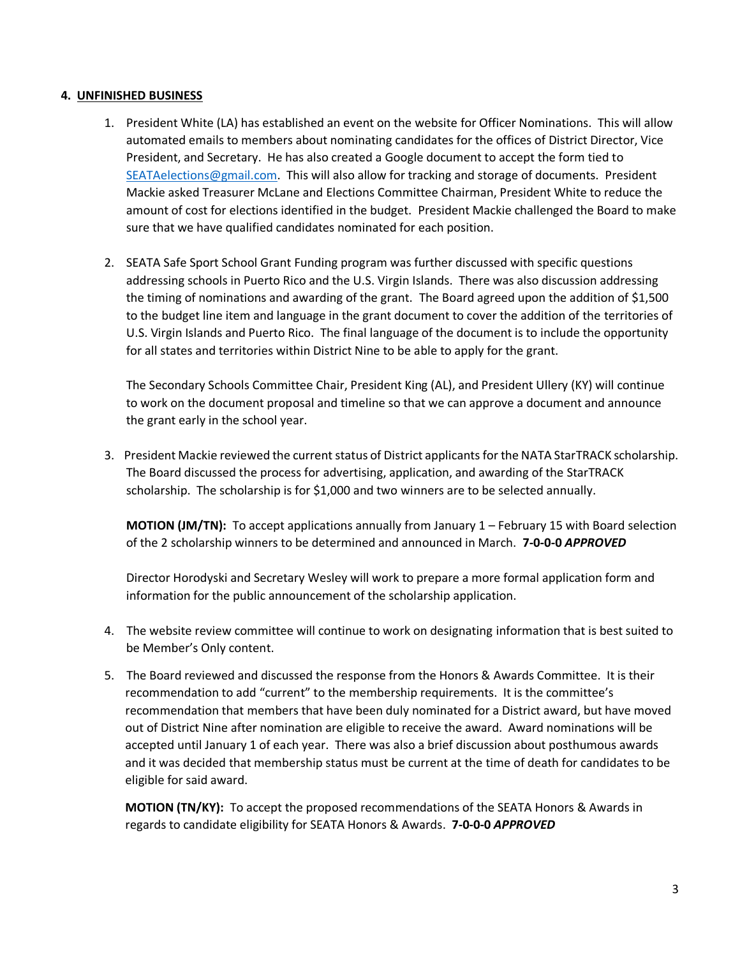#### **4. UNFINISHED BUSINESS**

- 1. President White (LA) has established an event on the website for Officer Nominations. This will allow automated emails to members about nominating candidates for the offices of District Director, Vice President, and Secretary. He has also created a Google document to accept the form tied to [SEATAelections@gmail.com.](mailto:SEATAelections@gmail.com) This will also allow for tracking and storage of documents. President Mackie asked Treasurer McLane and Elections Committee Chairman, President White to reduce the amount of cost for elections identified in the budget. President Mackie challenged the Board to make sure that we have qualified candidates nominated for each position.
- 2. SEATA Safe Sport School Grant Funding program was further discussed with specific questions addressing schools in Puerto Rico and the U.S. Virgin Islands. There was also discussion addressing the timing of nominations and awarding of the grant. The Board agreed upon the addition of \$1,500 to the budget line item and language in the grant document to cover the addition of the territories of U.S. Virgin Islands and Puerto Rico. The final language of the document is to include the opportunity for all states and territories within District Nine to be able to apply for the grant.

The Secondary Schools Committee Chair, President King (AL), and President Ullery (KY) will continue to work on the document proposal and timeline so that we can approve a document and announce the grant early in the school year.

3. President Mackie reviewed the current status of District applicants for the NATA StarTRACK scholarship. The Board discussed the process for advertising, application, and awarding of the StarTRACK scholarship. The scholarship is for \$1,000 and two winners are to be selected annually.

**MOTION (JM/TN):** To accept applications annually from January 1 – February 15 with Board selection of the 2 scholarship winners to be determined and announced in March. **7-0-0-0** *APPROVED*

Director Horodyski and Secretary Wesley will work to prepare a more formal application form and information for the public announcement of the scholarship application.

- 4. The website review committee will continue to work on designating information that is best suited to be Member's Only content.
- 5. The Board reviewed and discussed the response from the Honors & Awards Committee. It is their recommendation to add "current" to the membership requirements. It is the committee's recommendation that members that have been duly nominated for a District award, but have moved out of District Nine after nomination are eligible to receive the award. Award nominations will be accepted until January 1 of each year. There was also a brief discussion about posthumous awards and it was decided that membership status must be current at the time of death for candidates to be eligible for said award.

 **MOTION (TN/KY):** To accept the proposed recommendations of the SEATA Honors & Awards in regards to candidate eligibility for SEATA Honors & Awards. **7-0-0-0** *APPROVED*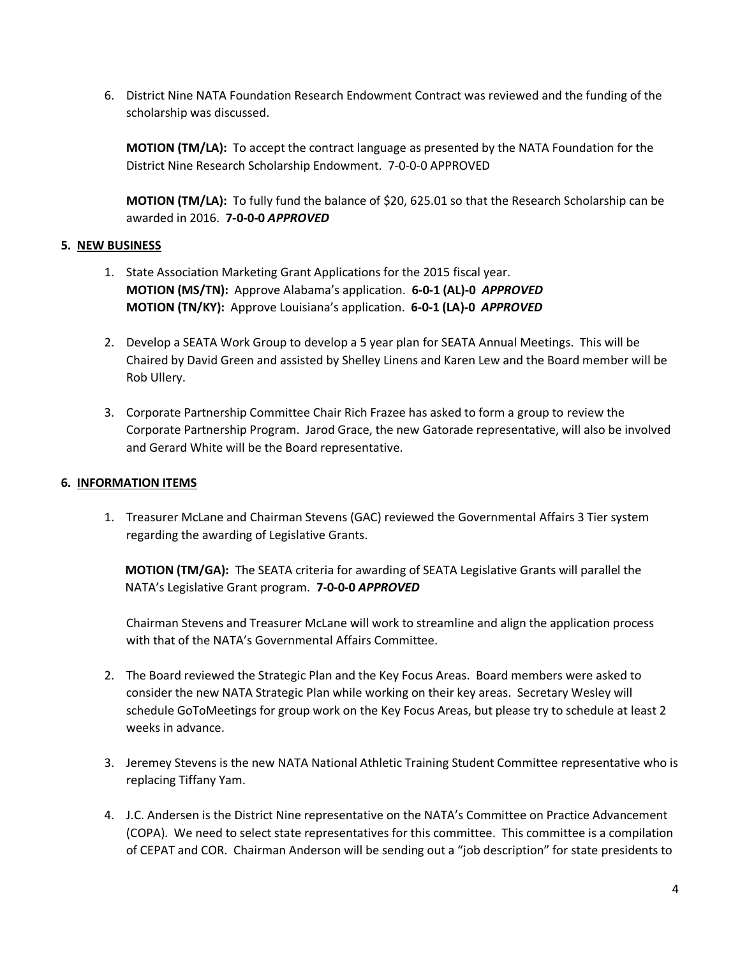6. District Nine NATA Foundation Research Endowment Contract was reviewed and the funding of the scholarship was discussed.

**MOTION (TM/LA):** To accept the contract language as presented by the NATA Foundation for the District Nine Research Scholarship Endowment. 7-0-0-0 APPROVED

**MOTION (TM/LA):** To fully fund the balance of \$20, 625.01 so that the Research Scholarship can be awarded in 2016. **7-0-0-0** *APPROVED*

## **5. NEW BUSINESS**

- 1. State Association Marketing Grant Applications for the 2015 fiscal year. **MOTION (MS/TN):** Approve Alabama's application. **6-0-1 (AL)-0** *APPROVED* **MOTION (TN/KY):** Approve Louisiana's application. **6-0-1 (LA)-0** *APPROVED*
- 2. Develop a SEATA Work Group to develop a 5 year plan for SEATA Annual Meetings. This will be Chaired by David Green and assisted by Shelley Linens and Karen Lew and the Board member will be Rob Ullery.
- 3. Corporate Partnership Committee Chair Rich Frazee has asked to form a group to review the Corporate Partnership Program. Jarod Grace, the new Gatorade representative, will also be involved and Gerard White will be the Board representative.

## **6. INFORMATION ITEMS**

1. Treasurer McLane and Chairman Stevens (GAC) reviewed the Governmental Affairs 3 Tier system regarding the awarding of Legislative Grants.

 **MOTION (TM/GA):** The SEATA criteria for awarding of SEATA Legislative Grants will parallel the NATA's Legislative Grant program. **7-0-0-0** *APPROVED*

Chairman Stevens and Treasurer McLane will work to streamline and align the application process with that of the NATA's Governmental Affairs Committee.

- 2. The Board reviewed the Strategic Plan and the Key Focus Areas. Board members were asked to consider the new NATA Strategic Plan while working on their key areas. Secretary Wesley will schedule GoToMeetings for group work on the Key Focus Areas, but please try to schedule at least 2 weeks in advance.
- 3. Jeremey Stevens is the new NATA National Athletic Training Student Committee representative who is replacing Tiffany Yam.
- 4. J.C. Andersen is the District Nine representative on the NATA's Committee on Practice Advancement (COPA). We need to select state representatives for this committee. This committee is a compilation of CEPAT and COR. Chairman Anderson will be sending out a "job description" for state presidents to